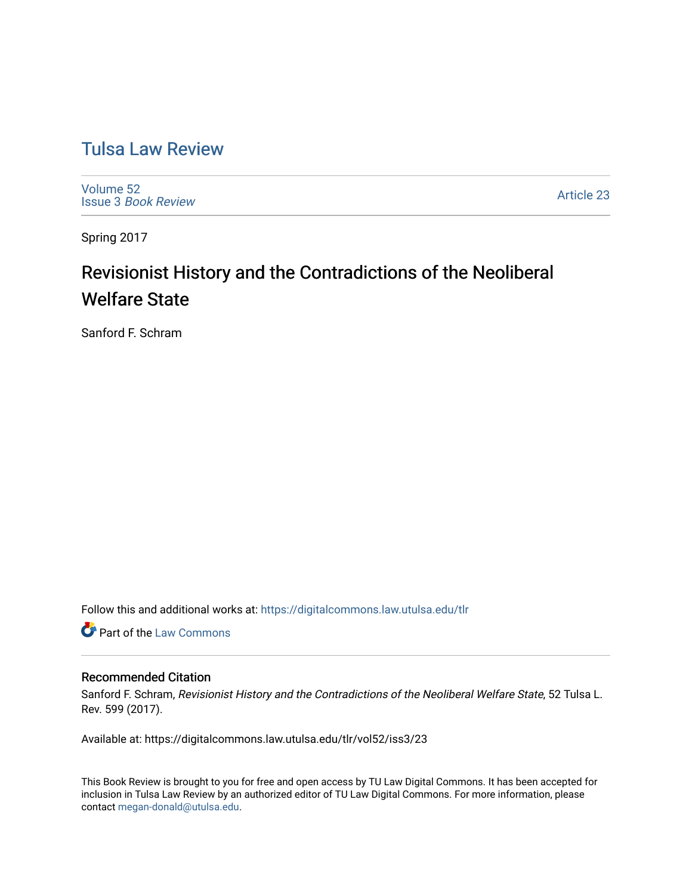## [Tulsa Law Review](https://digitalcommons.law.utulsa.edu/tlr)

[Volume 52](https://digitalcommons.law.utulsa.edu/tlr/vol52) Issue 3 [Book Review](https://digitalcommons.law.utulsa.edu/tlr/vol52/iss3)

[Article 23](https://digitalcommons.law.utulsa.edu/tlr/vol52/iss3/23) 

Spring 2017

# Revisionist History and the Contradictions of the Neoliberal Welfare State

Sanford F. Schram

Follow this and additional works at: [https://digitalcommons.law.utulsa.edu/tlr](https://digitalcommons.law.utulsa.edu/tlr?utm_source=digitalcommons.law.utulsa.edu%2Ftlr%2Fvol52%2Fiss3%2F23&utm_medium=PDF&utm_campaign=PDFCoverPages) 

**Part of the [Law Commons](http://network.bepress.com/hgg/discipline/578?utm_source=digitalcommons.law.utulsa.edu%2Ftlr%2Fvol52%2Fiss3%2F23&utm_medium=PDF&utm_campaign=PDFCoverPages)** 

#### Recommended Citation

Sanford F. Schram, Revisionist History and the Contradictions of the Neoliberal Welfare State, 52 Tulsa L. Rev. 599 (2017).

Available at: https://digitalcommons.law.utulsa.edu/tlr/vol52/iss3/23

This Book Review is brought to you for free and open access by TU Law Digital Commons. It has been accepted for inclusion in Tulsa Law Review by an authorized editor of TU Law Digital Commons. For more information, please contact [megan-donald@utulsa.edu.](mailto:megan-donald@utulsa.edu)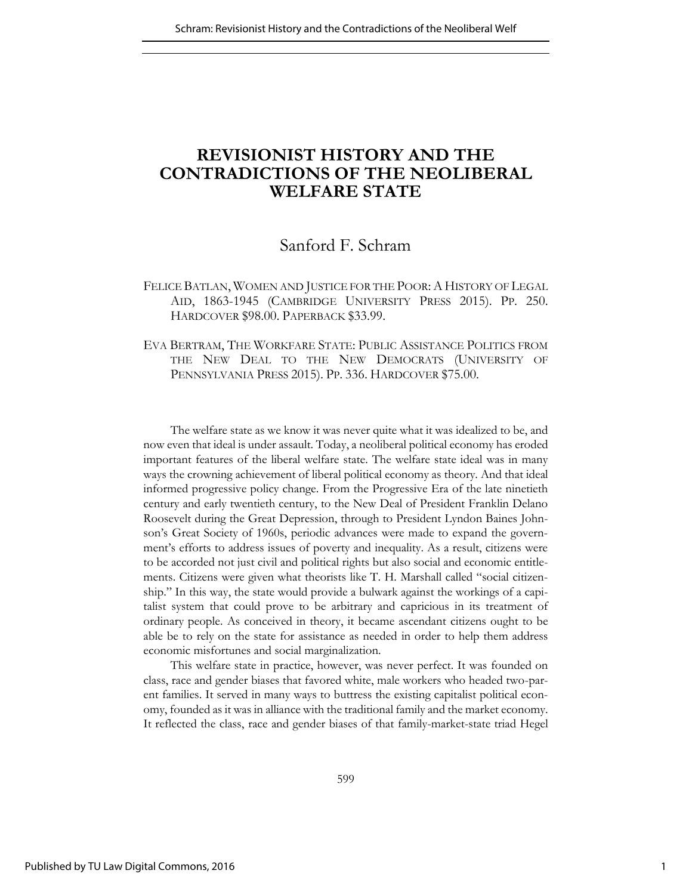### **REVISIONIST HISTORY AND THE CONTRADICTIONS OF THE NEOLIBERAL WELFARE STATE**

### Sanford F. Schram

### FELICE BATLAN, WOMEN AND JUSTICE FOR THE POOR: A HISTORY OF LEGAL AID, 1863-1945 (CAMBRIDGE UNIVERSITY PRESS 2015). PP. 250. HARDCOVER \$98.00. PAPERBACK \$33.99.

#### EVA BERTRAM, THE WORKFARE STATE: PUBLIC ASSISTANCE POLITICS FROM THE NEW DEAL TO THE NEW DEMOCRATS (UNIVERSITY OF PENNSYLVANIA PRESS 2015). PP. 336. HARDCOVER \$75.00.

The welfare state as we know it was never quite what it was idealized to be, and now even that ideal is under assault. Today, a neoliberal political economy has eroded important features of the liberal welfare state. The welfare state ideal was in many ways the crowning achievement of liberal political economy as theory. And that ideal informed progressive policy change. From the Progressive Era of the late ninetieth century and early twentieth century, to the New Deal of President Franklin Delano Roosevelt during the Great Depression, through to President Lyndon Baines Johnson's Great Society of 1960s, periodic advances were made to expand the government's efforts to address issues of poverty and inequality. As a result, citizens were to be accorded not just civil and political rights but also social and economic entitlements. Citizens were given what theorists like T. H. Marshall called "social citizenship." In this way, the state would provide a bulwark against the workings of a capitalist system that could prove to be arbitrary and capricious in its treatment of ordinary people. As conceived in theory, it became ascendant citizens ought to be able be to rely on the state for assistance as needed in order to help them address economic misfortunes and social marginalization.

This welfare state in practice, however, was never perfect. It was founded on class, race and gender biases that favored white, male workers who headed two-parent families. It served in many ways to buttress the existing capitalist political economy, founded as it was in alliance with the traditional family and the market economy. It reflected the class, race and gender biases of that family-market-state triad Hegel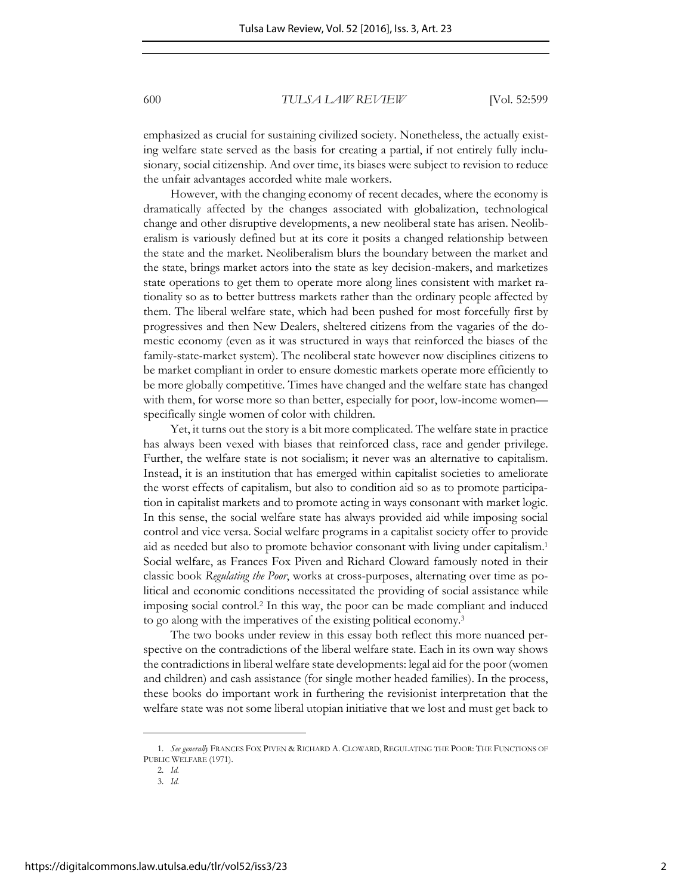emphasized as crucial for sustaining civilized society. Nonetheless, the actually existing welfare state served as the basis for creating a partial, if not entirely fully inclusionary, social citizenship. And over time, its biases were subject to revision to reduce the unfair advantages accorded white male workers.

However, with the changing economy of recent decades, where the economy is dramatically affected by the changes associated with globalization, technological change and other disruptive developments, a new neoliberal state has arisen. Neoliberalism is variously defined but at its core it posits a changed relationship between the state and the market. Neoliberalism blurs the boundary between the market and the state, brings market actors into the state as key decision-makers, and marketizes state operations to get them to operate more along lines consistent with market rationality so as to better buttress markets rather than the ordinary people affected by them. The liberal welfare state, which had been pushed for most forcefully first by progressives and then New Dealers, sheltered citizens from the vagaries of the domestic economy (even as it was structured in ways that reinforced the biases of the family-state-market system). The neoliberal state however now disciplines citizens to be market compliant in order to ensure domestic markets operate more efficiently to be more globally competitive. Times have changed and the welfare state has changed with them, for worse more so than better, especially for poor, low-income women specifically single women of color with children.

Yet, it turns out the story is a bit more complicated. The welfare state in practice has always been vexed with biases that reinforced class, race and gender privilege. Further, the welfare state is not socialism; it never was an alternative to capitalism. Instead, it is an institution that has emerged within capitalist societies to ameliorate the worst effects of capitalism, but also to condition aid so as to promote participation in capitalist markets and to promote acting in ways consonant with market logic. In this sense, the social welfare state has always provided aid while imposing social control and vice versa. Social welfare programs in a capitalist society offer to provide aid as needed but also to promote behavior consonant with living under capitalism.<sup>1</sup> Social welfare, as Frances Fox Piven and Richard Cloward famously noted in their classic book *Regulating the Poor*, works at cross-purposes, alternating over time as political and economic conditions necessitated the providing of social assistance while imposing social control.<sup>2</sup> In this way, the poor can be made compliant and induced to go along with the imperatives of the existing political economy.<sup>3</sup>

The two books under review in this essay both reflect this more nuanced perspective on the contradictions of the liberal welfare state. Each in its own way shows the contradictions in liberal welfare state developments: legal aid for the poor (women and children) and cash assistance (for single mother headed families). In the process, these books do important work in furthering the revisionist interpretation that the welfare state was not some liberal utopian initiative that we lost and must get back to

<sup>1.</sup> *See generally* FRANCES FOX PIVEN & RICHARD A. CLOWARD, REGULATING THE POOR: THE FUNCTIONS OF PUBLIC WELFARE (1971).

<sup>2.</sup> *Id.*

<sup>3.</sup> *Id.*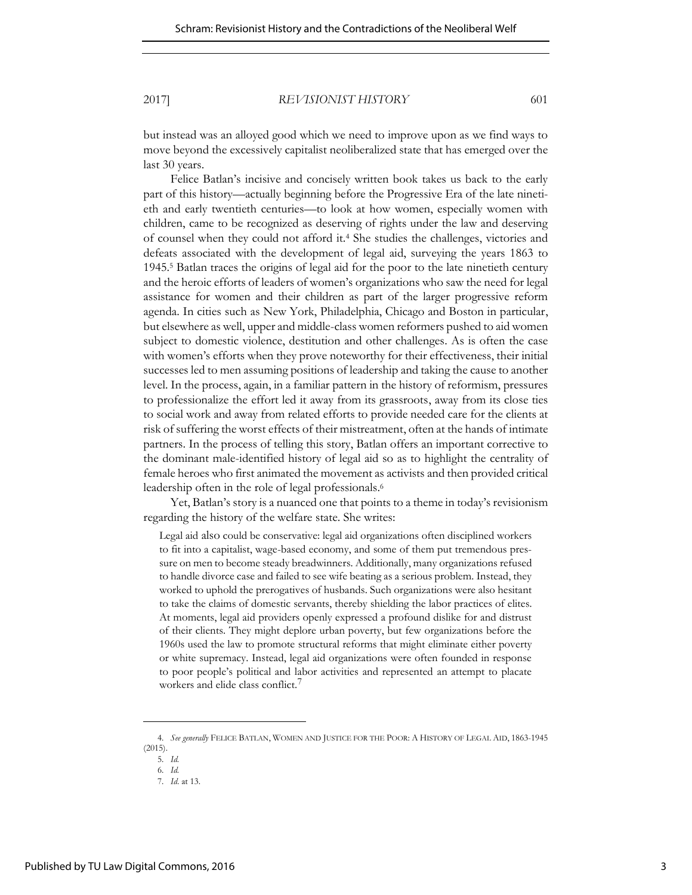2017] *REVISIONIST HISTORY* 601

but instead was an alloyed good which we need to improve upon as we find ways to move beyond the excessively capitalist neoliberalized state that has emerged over the last 30 years.

Felice Batlan's incisive and concisely written book takes us back to the early part of this history—actually beginning before the Progressive Era of the late ninetieth and early twentieth centuries—to look at how women, especially women with children, came to be recognized as deserving of rights under the law and deserving of counsel when they could not afford it.<sup>4</sup> She studies the challenges, victories and defeats associated with the development of legal aid, surveying the years 1863 to 1945.<sup>5</sup> Batlan traces the origins of legal aid for the poor to the late ninetieth century and the heroic efforts of leaders of women's organizations who saw the need for legal assistance for women and their children as part of the larger progressive reform agenda. In cities such as New York, Philadelphia, Chicago and Boston in particular, but elsewhere as well, upper and middle-class women reformers pushed to aid women subject to domestic violence, destitution and other challenges. As is often the case with women's efforts when they prove noteworthy for their effectiveness, their initial successes led to men assuming positions of leadership and taking the cause to another level. In the process, again, in a familiar pattern in the history of reformism, pressures to professionalize the effort led it away from its grassroots, away from its close ties to social work and away from related efforts to provide needed care for the clients at risk of suffering the worst effects of their mistreatment, often at the hands of intimate partners. In the process of telling this story, Batlan offers an important corrective to the dominant male-identified history of legal aid so as to highlight the centrality of female heroes who first animated the movement as activists and then provided critical leadership often in the role of legal professionals.<sup>6</sup>

Yet, Batlan's story is a nuanced one that points to a theme in today's revisionism regarding the history of the welfare state. She writes:

Legal aid also could be conservative: legal aid organizations often disciplined workers to fit into a capitalist, wage-based economy, and some of them put tremendous pressure on men to become steady breadwinners. Additionally, many organizations refused to handle divorce case and failed to see wife beating as a serious problem. Instead, they worked to uphold the prerogatives of husbands. Such organizations were also hesitant to take the claims of domestic servants, thereby shielding the labor practices of elites. At moments, legal aid providers openly expressed a profound dislike for and distrust of their clients. They might deplore urban poverty, but few organizations before the 1960s used the law to promote structural reforms that might eliminate either poverty or white supremacy. Instead, legal aid organizations were often founded in response to poor people's political and labor activities and represented an attempt to placate workers and elide class conflict.<sup>7</sup>

<sup>4.</sup> *See generally* FELICE BATLAN, WOMEN AND JUSTICE FOR THE POOR: A HISTORY OF LEGAL AID, 1863-1945 (2015).

<sup>5.</sup> *Id.*

<sup>6.</sup> *Id.*

<sup>7.</sup> *Id*. at 13.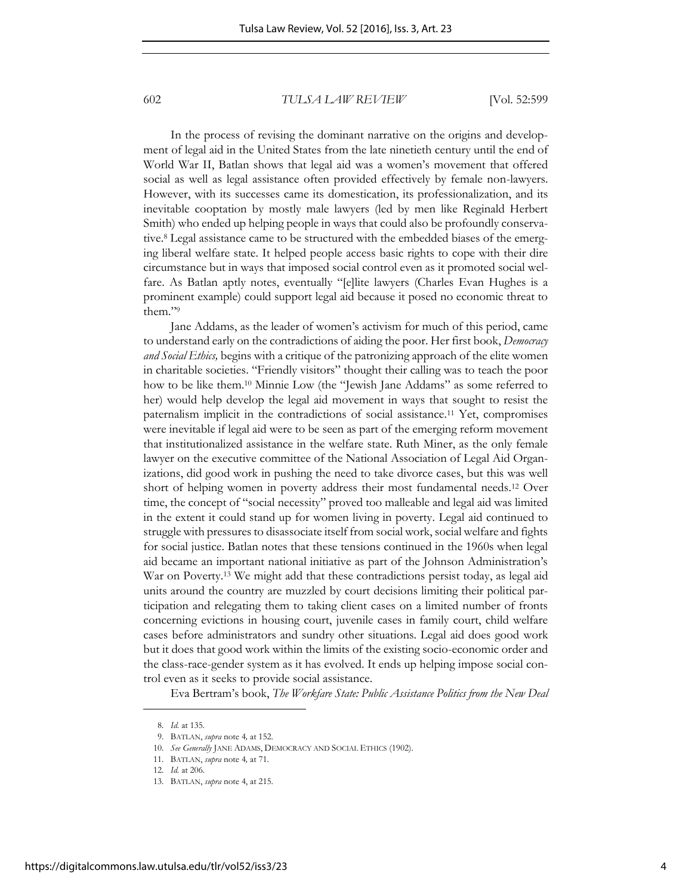In the process of revising the dominant narrative on the origins and development of legal aid in the United States from the late ninetieth century until the end of World War II, Batlan shows that legal aid was a women's movement that offered social as well as legal assistance often provided effectively by female non-lawyers. However, with its successes came its domestication, its professionalization, and its inevitable cooptation by mostly male lawyers (led by men like Reginald Herbert Smith) who ended up helping people in ways that could also be profoundly conservative.<sup>8</sup> Legal assistance came to be structured with the embedded biases of the emerging liberal welfare state. It helped people access basic rights to cope with their dire circumstance but in ways that imposed social control even as it promoted social welfare. As Batlan aptly notes, eventually "[e]lite lawyers (Charles Evan Hughes is a prominent example) could support legal aid because it posed no economic threat to them."<sup>9</sup>

Jane Addams, as the leader of women's activism for much of this period, came to understand early on the contradictions of aiding the poor. Her first book, *Democracy and Social Ethics,* begins with a critique of the patronizing approach of the elite women in charitable societies. "Friendly visitors" thought their calling was to teach the poor how to be like them.<sup>10</sup> Minnie Low (the "Jewish Jane Addams" as some referred to her) would help develop the legal aid movement in ways that sought to resist the paternalism implicit in the contradictions of social assistance.11 Yet, compromises were inevitable if legal aid were to be seen as part of the emerging reform movement that institutionalized assistance in the welfare state. Ruth Miner, as the only female lawyer on the executive committee of the National Association of Legal Aid Organizations, did good work in pushing the need to take divorce cases, but this was well short of helping women in poverty address their most fundamental needs.12 Over time, the concept of "social necessity" proved too malleable and legal aid was limited in the extent it could stand up for women living in poverty. Legal aid continued to struggle with pressures to disassociate itself from social work, social welfare and fights for social justice. Batlan notes that these tensions continued in the 1960s when legal aid became an important national initiative as part of the Johnson Administration's War on Poverty.13 We might add that these contradictions persist today, as legal aid units around the country are muzzled by court decisions limiting their political participation and relegating them to taking client cases on a limited number of fronts concerning evictions in housing court, juvenile cases in family court, child welfare cases before administrators and sundry other situations. Legal aid does good work but it does that good work within the limits of the existing socio-economic order and the class-race-gender system as it has evolved. It ends up helping impose social control even as it seeks to provide social assistance.

Eva Bertram's book, *The Workfare State: Public Assistance Politics from the New Deal* 

<sup>8.</sup> *Id.* at 135.

<sup>9.</sup> BATLAN, *supra* note 4*,* at 152.

<sup>10.</sup> *See Generally* JANE ADAMS, DEMOCRACY AND SOCIAL ETHICS (1902).

<sup>11.</sup> BATLAN, *supra* note 4*,* at 71.

<sup>12.</sup> *Id.* at 206.

<sup>13.</sup> BATLAN, *supra* note 4, at 215.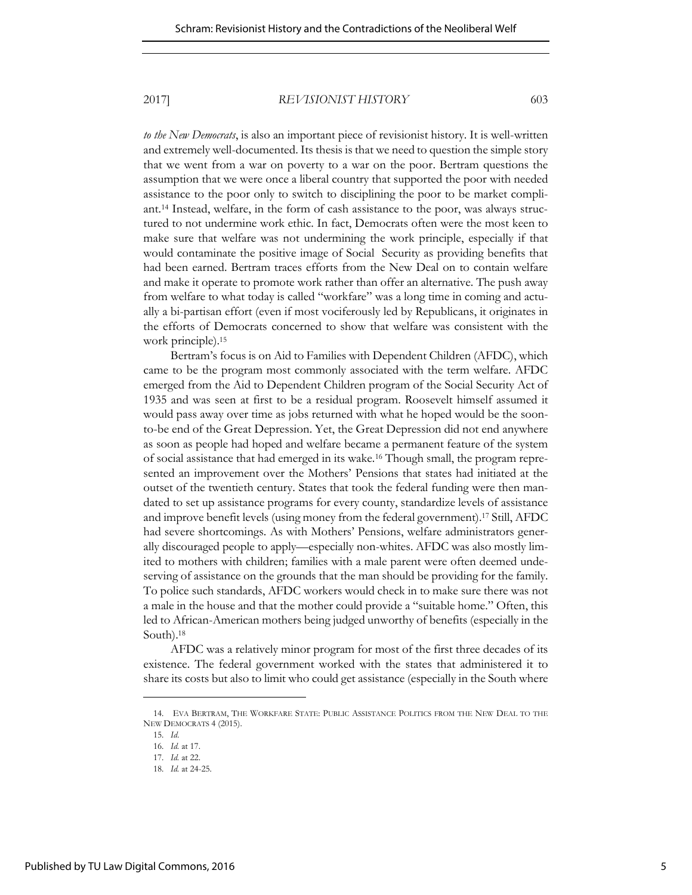### 2017] *REVISIONIST HISTORY* 603

*to the New Democrats*, is also an important piece of revisionist history. It is well-written and extremely well-documented. Its thesis is that we need to question the simple story that we went from a war on poverty to a war on the poor. Bertram questions the assumption that we were once a liberal country that supported the poor with needed assistance to the poor only to switch to disciplining the poor to be market compliant.14 Instead, welfare, in the form of cash assistance to the poor, was always structured to not undermine work ethic. In fact, Democrats often were the most keen to make sure that welfare was not undermining the work principle, especially if that would contaminate the positive image of Social Security as providing benefits that had been earned. Bertram traces efforts from the New Deal on to contain welfare and make it operate to promote work rather than offer an alternative. The push away from welfare to what today is called "workfare" was a long time in coming and actually a bi-partisan effort (even if most vociferously led by Republicans, it originates in the efforts of Democrats concerned to show that welfare was consistent with the work principle).<sup>15</sup>

Bertram's focus is on Aid to Families with Dependent Children (AFDC), which came to be the program most commonly associated with the term welfare. AFDC emerged from the Aid to Dependent Children program of the Social Security Act of 1935 and was seen at first to be a residual program. Roosevelt himself assumed it would pass away over time as jobs returned with what he hoped would be the soonto-be end of the Great Depression. Yet, the Great Depression did not end anywhere as soon as people had hoped and welfare became a permanent feature of the system of social assistance that had emerged in its wake.16 Though small, the program represented an improvement over the Mothers' Pensions that states had initiated at the outset of the twentieth century. States that took the federal funding were then mandated to set up assistance programs for every county, standardize levels of assistance and improve benefit levels (using money from the federal government).17 Still, AFDC had severe shortcomings. As with Mothers' Pensions, welfare administrators generally discouraged people to apply—especially non-whites. AFDC was also mostly limited to mothers with children; families with a male parent were often deemed undeserving of assistance on the grounds that the man should be providing for the family. To police such standards, AFDC workers would check in to make sure there was not a male in the house and that the mother could provide a "suitable home." Often, this led to African-American mothers being judged unworthy of benefits (especially in the South).<sup>18</sup>

AFDC was a relatively minor program for most of the first three decades of its existence. The federal government worked with the states that administered it to share its costs but also to limit who could get assistance (especially in the South where

<sup>14.</sup> EVA BERTRAM, THE WORKFARE STATE: PUBLIC ASSISTANCE POLITICS FROM THE NEW DEAL TO THE NEW DEMOCRATS 4 (2015).

<sup>15.</sup> *Id*.

<sup>16.</sup> *Id.* at 17.

<sup>17.</sup> *Id.* at 22.

<sup>18.</sup> *Id.* at 24-25.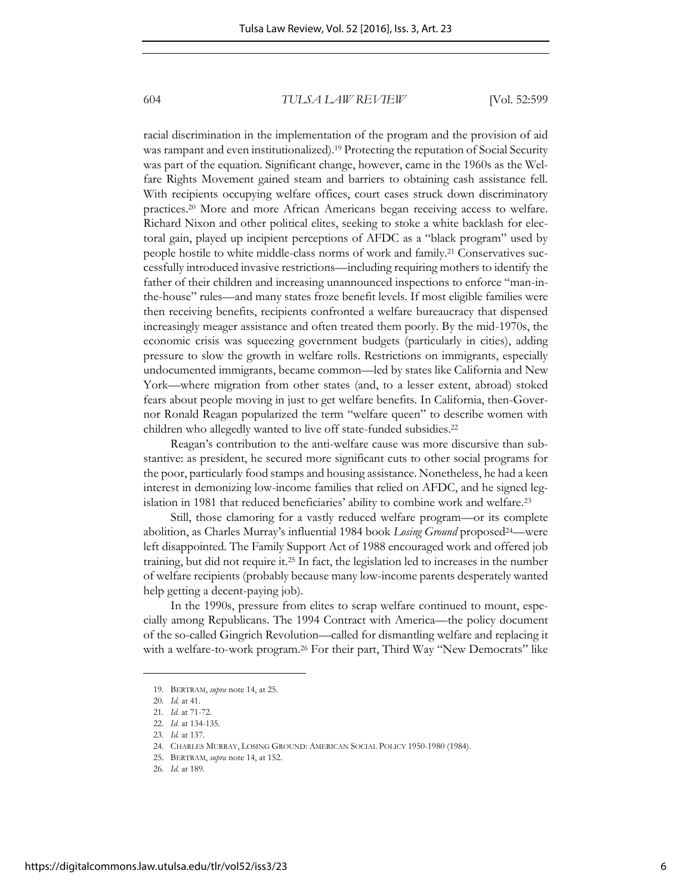racial discrimination in the implementation of the program and the provision of aid was rampant and even institutionalized).19 Protecting the reputation of Social Security was part of the equation. Significant change, however, came in the 1960s as the Welfare Rights Movement gained steam and barriers to obtaining cash assistance fell. With recipients occupying welfare offices, court cases struck down discriminatory practices.20 More and more African Americans began receiving access to welfare. Richard Nixon and other political elites, seeking to stoke a white backlash for electoral gain, played up incipient perceptions of AFDC as a "black program" used by people hostile to white middle-class norms of work and family.21 Conservatives successfully introduced invasive restrictions—including requiring mothers to identify the father of their children and increasing unannounced inspections to enforce "man-inthe-house" rules—and many states froze benefit levels. If most eligible families were then receiving benefits, recipients confronted a welfare bureaucracy that dispensed increasingly meager assistance and often treated them poorly. By the mid-1970s, the economic crisis was squeezing government budgets (particularly in cities), adding pressure to slow the growth in welfare rolls. Restrictions on immigrants, especially undocumented immigrants, became common—led by states like California and New York—where migration from other states (and, to a lesser extent, abroad) stoked fears about people moving in just to get welfare benefits. In California, then-Governor Ronald Reagan popularized the term "welfare queen" to describe women with children who allegedly wanted to live off state-funded subsidies.<sup>22</sup>

Reagan's contribution to the anti-welfare cause was more discursive than substantive: as president, he secured more significant cuts to other social programs for the poor, particularly food stamps and housing assistance. Nonetheless, he had a keen interest in demonizing low-income families that relied on AFDC, and he signed legislation in 1981 that reduced beneficiaries' ability to combine work and welfare.<sup>23</sup>

Still, those clamoring for a vastly reduced welfare program—or its complete abolition, as Charles Murray's influential 1984 book *Losing Ground* proposed24—were left disappointed. The Family Support Act of 1988 encouraged work and offered job training, but did not require it.25 In fact, the legislation led to increases in the number of welfare recipients (probably because many low-income parents desperately wanted help getting a decent-paying job).

In the 1990s, pressure from elites to scrap welfare continued to mount, especially among Republicans. The 1994 Contract with America—the policy document of the so-called Gingrich Revolution—called for dismantling welfare and replacing it with a welfare-to-work program.<sup>26</sup> For their part, Third Way "New Democrats" like

<sup>19.</sup> BERTRAM, *supra* note 14, at 25.

<sup>20.</sup> *Id.* at 41.

<sup>21.</sup> *Id.* at 71-72.

<sup>22.</sup> *Id.* at 134-135.

<sup>23.</sup> *Id.* at 137.

<sup>24.</sup> CHARLES MURRAY, LOSING GROUND: AMERICAN SOCIAL POLICY 1950-1980 (1984).

<sup>25.</sup> BERTRAM, *supra* note 14, at 152.

<sup>26.</sup> *Id.* at 189.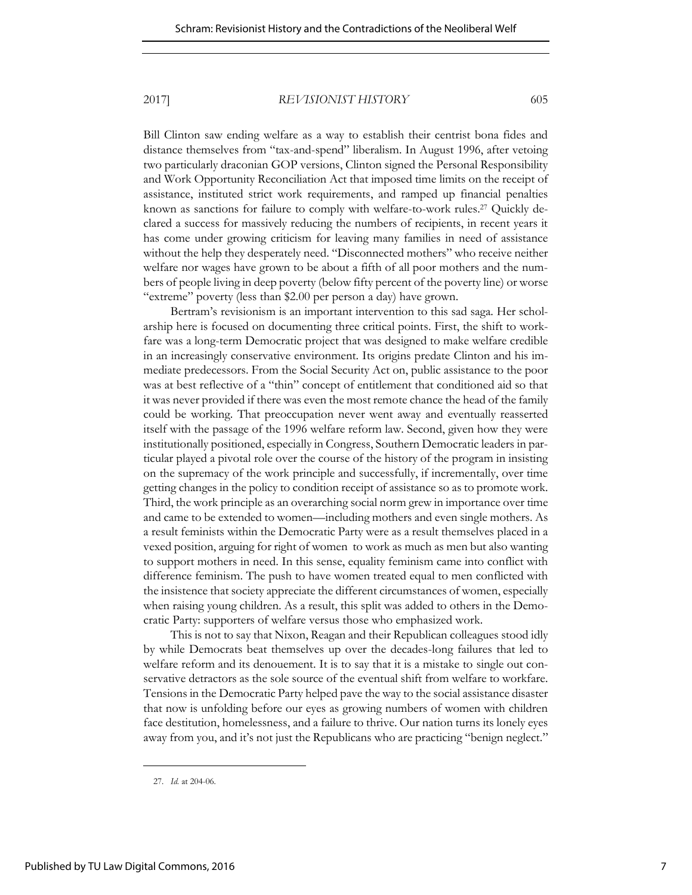#### 2017] *REVISIONIST HISTORY* 605

Bill Clinton saw ending welfare as a way to establish their centrist bona fides and distance themselves from "tax-and-spend" liberalism. In August 1996, after vetoing two particularly draconian GOP versions, Clinton signed the Personal Responsibility and Work Opportunity Reconciliation Act that imposed time limits on the receipt of assistance, instituted strict work requirements, and ramped up financial penalties known as sanctions for failure to comply with welfare-to-work rules.27 Quickly declared a success for massively reducing the numbers of recipients, in recent years it has come under growing criticism for leaving many families in need of assistance without the help they desperately need. "Disconnected mothers" who receive neither welfare nor wages have grown to be about a fifth of all poor mothers and the numbers of people living in deep poverty (below fifty percent of the poverty line) or worse "extreme" poverty (less than \$2.00 per person a day) have grown.

Bertram's revisionism is an important intervention to this sad saga. Her scholarship here is focused on documenting three critical points. First, the shift to workfare was a long-term Democratic project that was designed to make welfare credible in an increasingly conservative environment. Its origins predate Clinton and his immediate predecessors. From the Social Security Act on, public assistance to the poor was at best reflective of a "thin" concept of entitlement that conditioned aid so that it was never provided if there was even the most remote chance the head of the family could be working. That preoccupation never went away and eventually reasserted itself with the passage of the 1996 welfare reform law. Second, given how they were institutionally positioned, especially in Congress, Southern Democratic leaders in particular played a pivotal role over the course of the history of the program in insisting on the supremacy of the work principle and successfully, if incrementally, over time getting changes in the policy to condition receipt of assistance so as to promote work. Third, the work principle as an overarching social norm grew in importance over time and came to be extended to women—including mothers and even single mothers. As a result feminists within the Democratic Party were as a result themselves placed in a vexed position, arguing for right of women to work as much as men but also wanting to support mothers in need. In this sense, equality feminism came into conflict with difference feminism. The push to have women treated equal to men conflicted with the insistence that society appreciate the different circumstances of women, especially when raising young children. As a result, this split was added to others in the Democratic Party: supporters of welfare versus those who emphasized work.

This is not to say that Nixon, Reagan and their Republican colleagues stood idly by while Democrats beat themselves up over the decades-long failures that led to welfare reform and its denouement. It is to say that it is a mistake to single out conservative detractors as the sole source of the eventual shift from welfare to workfare. Tensions in the Democratic Party helped pave the way to the social assistance disaster that now is unfolding before our eyes as growing numbers of women with children face destitution, homelessness, and a failure to thrive. Our nation turns its lonely eyes away from you, and it's not just the Republicans who are practicing "benign neglect."

<sup>27.</sup> *Id.* at 204-06.